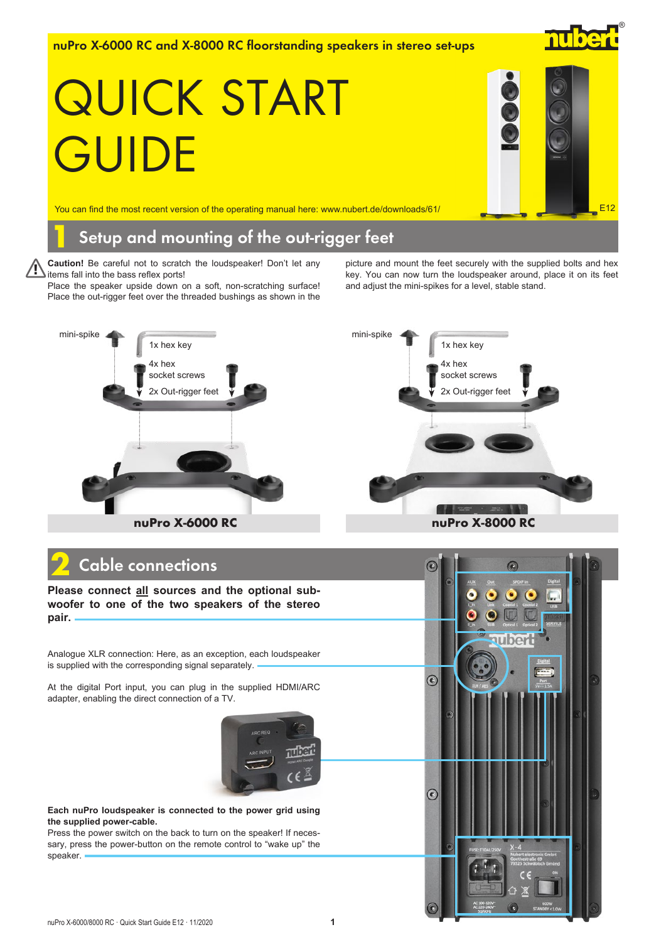nuPro X-6000 RC and X-8000 RC floorstanding speakers in stereo set-ups

# QUICK START **GUIDE**

nube

®

You can find the most recent version of the operating manual here: www.nubert.de/downloads/61/  $\Box$  Equation  $\Box$  E12

## Setup and mounting of the out-rigger feet

**Caution!** Be careful not to scratch the loudspeaker! Don't let any items fall into the bass reflex ports! !

Place the speaker upside down on a soft, non-scratching surface! Place the out-rigger feet over the threaded bushings as shown in the

4x hex

1x hex key

mini-spike

picture and mount the feet securely with the supplied bolts and hex key. You can now turn the loudspeaker around, place it on its feet and adjust the mini-spikes for a level, stable stand.



# Cable connections

**Please connect all sources and the optional subwoofer to one of the two speakers of the stereo pair.**

Analogue XLR connection: Here, as an exception, each loudspeaker is supplied with the corresponding signal separately.

At the digital Port input, you can plug in the supplied HDMI/ARC adapter, enabling the direct connection of a TV.



**Each nuPro loudspeaker is connected to the power grid using the supplied power-cable.**

Press the power switch on the back to turn on the speaker! If necessary, press the power-button on the remote control to "wake up" the speaker.



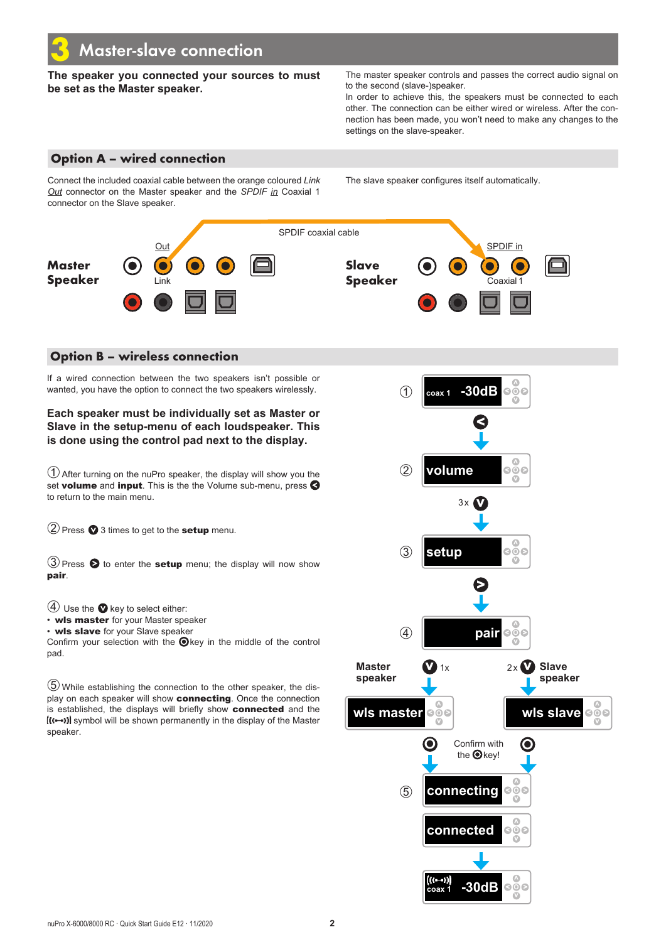**The speaker you connected your sources to must be set as the Master speaker.**

The master speaker controls and passes the correct audio signal on to the second (slave-)speaker.

In order to achieve this, the speakers must be connected to each other. The connection can be either wired or wireless. After the connection has been made, you won't need to make any changes to the settings on the slave-speaker.

## Option A – wired connection

Connect the included coaxial cable between the orange coloured *Link Out* connector on the Master speaker and the *SPDIF in* Coaxial 1 connector on the Slave speaker.

The slave speaker configures itself automatically.



### Option B – wireless connection

If a wired connection between the two speakers isn't possible or wanted, you have the option to connect the two speakers wirelessly.

**Each speaker must be individually set as Master or Slave in the setup-menu of each loudspeaker. This is done using the control pad next to the display.**

➀After turning on the nuPro speaker, the display will show you the set volume and input. This is the the Volume sub-menu, press  $\bigotimes$ to return to the main menu.

 $(2)$  Press  $\bullet$  3 times to get to the **setup** menu.

 $\textcircled{3}$  Press  $\textcircled{5}$  to enter the setup menu; the display will now show pair.

 $(4)$  Use the  $\bullet$  key to select either:

• wls master for your Master speaker

• wls slave for your Slave speaker

Confirm your selection with the  $\bigcirc$  key in the middle of the control pad.

➄ While establishing the connection to the other speaker, the display on each speaker will show connecting. Once the connection is established, the displays will briefly show connected and the  $\left(\left(\left(-\right)\right)\right)$  symbol will be shown permanently in the display of the Master speaker.

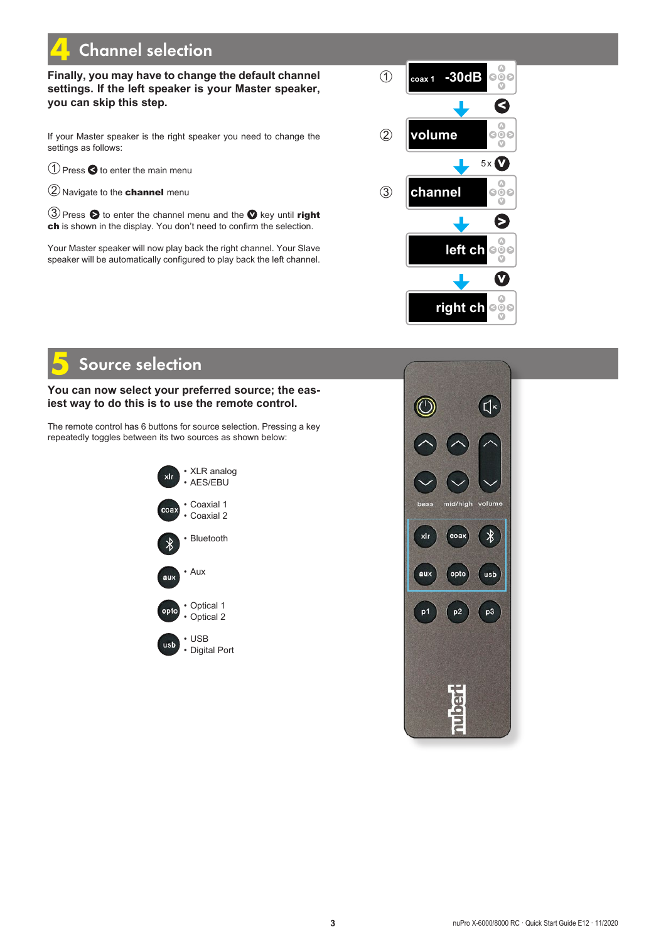# **Channel selection**

## **Finally, you may have to change the default channel settings. If the left speaker is your Master speaker, you can skip this step.**

If your Master speaker is the right speaker you need to change the settings as follows:

 $\bigcirc$  Press  $\bigcirc$  to enter the main menu

➁Navigate to the channel menu

③ Press ● to enter the channel menu and the ● key until right ch is shown in the display. You don't need to confirm the selection.

Your Master speaker will now play back the right channel. Your Slave speaker will be automatically configured to play back the left channel.



# Source selection

### **You can now select your preferred source; the easiest way to do this is to use the remote control.**

The remote control has 6 buttons for source selection. Pressing a key repeatedly toggles between its two sources as shown below: